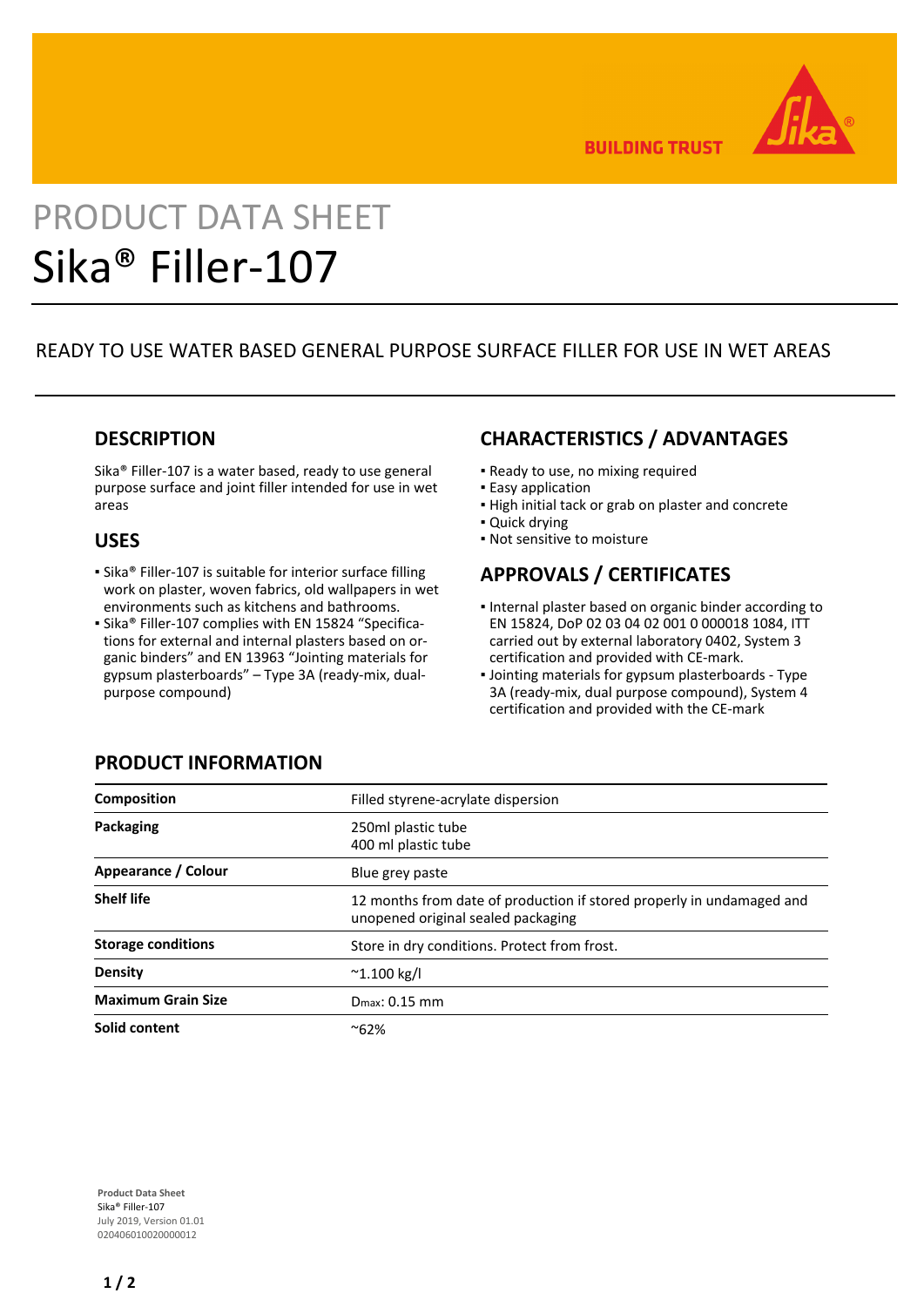

**BUILDING TRUST** 

# PRODUCT DATA SHEET Sika® Filler-107

# READY TO USE WATER BASED GENERAL PURPOSE SURFACE FILLER FOR USE IN WET AREAS

## **DESCRIPTION**

Sika® Filler-107 is a water based, ready to use general purpose surface and joint filler intended for use in wet areas

## **USES**

- Sika® Filler-107 is suitable for interior surface filling work on plaster, woven fabrics, old wallpapers in wet environments such as kitchens and bathrooms.
- Sika® Filler-107 complies with EN 15824 "Specifications for external and internal plasters based on organic binders" and EN 13963 "Jointing materials for gypsum plasterboards" – Type 3A (ready-mix, dualpurpose compound)

# **CHARACTERISTICS / ADVANTAGES**

- **Ready to use, no mixing required**
- Easy application
- **.** High initial tack or grab on plaster and concrete
- **Quick drying**
- Not sensitive to moisture

# **APPROVALS / CERTIFICATES**

- **.** Internal plaster based on organic binder according to EN 15824, DoP 02 03 04 02 001 0 000018 1084, ITT carried out by external laboratory 0402, System 3 certification and provided with CE-mark.
- **.** Jointing materials for gypsum plasterboards Type 3A (ready-mix, dual purpose compound), System 4 certification and provided with the CE-mark

| <b>Composition</b>        | Filled styrene-acrylate dispersion                                                                          |
|---------------------------|-------------------------------------------------------------------------------------------------------------|
| Packaging                 | 250ml plastic tube<br>400 ml plastic tube                                                                   |
| Appearance / Colour       | Blue grey paste                                                                                             |
| <b>Shelf life</b>         | 12 months from date of production if stored properly in undamaged and<br>unopened original sealed packaging |
| <b>Storage conditions</b> | Store in dry conditions. Protect from frost.                                                                |
| <b>Density</b>            | $^{\sim}$ 1.100 kg/l                                                                                        |
| <b>Maximum Grain Size</b> | $D_{\text{max}}$ : 0.15 mm                                                                                  |
| Solid content             | $^{\sim}62\%$                                                                                               |

**Product Data Sheet** Sika® Filler-107 July 2019, Version 01.01 020406010020000012